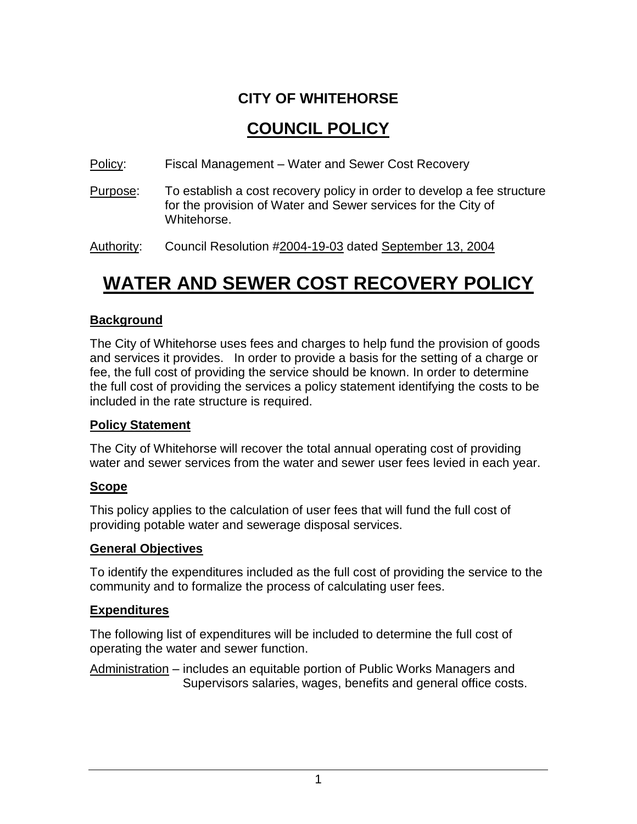### **CITY OF WHITEHORSE**

## **COUNCIL POLICY**

- Policy: Fiscal Management Water and Sewer Cost Recovery
- Purpose: To establish a cost recovery policy in order to develop a fee structure for the provision of Water and Sewer services for the City of Whitehorse.

Authority: Council Resolution #2004-19-03 dated September 13, 2004

# **WATER AND SEWER COST RECOVERY POLICY**

#### **Background**

The City of Whitehorse uses fees and charges to help fund the provision of goods and services it provides. In order to provide a basis for the setting of a charge or fee, the full cost of providing the service should be known. In order to determine the full cost of providing the services a policy statement identifying the costs to be included in the rate structure is required.

#### **Policy Statement**

The City of Whitehorse will recover the total annual operating cost of providing water and sewer services from the water and sewer user fees levied in each year.

#### **Scope**

This policy applies to the calculation of user fees that will fund the full cost of providing potable water and sewerage disposal services.

#### **General Objectives**

To identify the expenditures included as the full cost of providing the service to the community and to formalize the process of calculating user fees.

#### **Expenditures**

The following list of expenditures will be included to determine the full cost of operating the water and sewer function.

Administration – includes an equitable portion of Public Works Managers and Supervisors salaries, wages, benefits and general office costs.